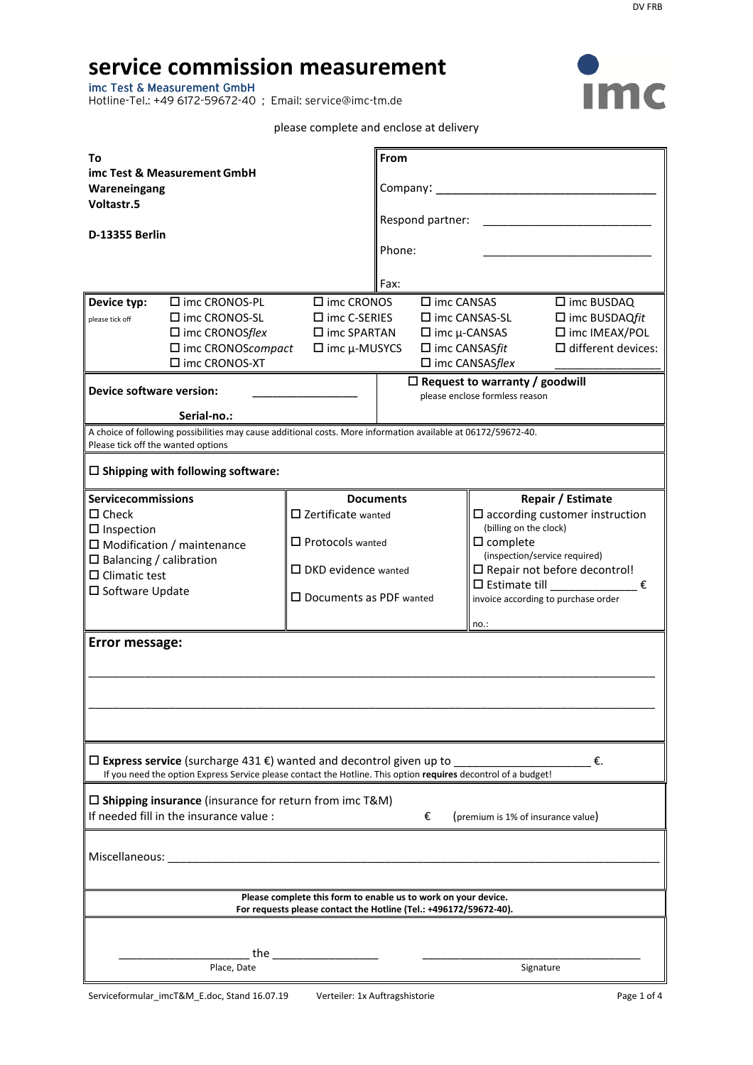# **service commission measurement**

imc Test & Measurement GmbH

Hotline-Tel.: +49 6172-59672-40 ; Email: service@imc-tm.de



### please complete and enclose at delivery

| То<br>imc Test & Measurement GmbH<br>Wareneingang<br>Voltastr.5<br><b>D-13355 Berlin</b>                                                                                                                                                                                                                                                                                                                                          |                                                                                                                                             | From<br>Company:<br>Respond partner:<br>Phone:<br>Fax:                                                                                                                                                                                                                                                     |                                                                                                                                                                                                                                                                            |  |
|-----------------------------------------------------------------------------------------------------------------------------------------------------------------------------------------------------------------------------------------------------------------------------------------------------------------------------------------------------------------------------------------------------------------------------------|---------------------------------------------------------------------------------------------------------------------------------------------|------------------------------------------------------------------------------------------------------------------------------------------------------------------------------------------------------------------------------------------------------------------------------------------------------------|----------------------------------------------------------------------------------------------------------------------------------------------------------------------------------------------------------------------------------------------------------------------------|--|
| □ imc CRONOS-PL<br>$\Box$ imc CRONOS<br>Device typ:<br>$\square$ imc CRONOS-SL<br>$\square$ imc C-SERIES<br>please tick off<br>$\square$ imc SPARTAN<br>$\square$ imc CRONOSflex<br>$\Box$ imc CRONOScompact<br>$\square$ imc $\mu$ -MUSYCS<br>□ imc CRONOS-XT<br><b>Device software version:</b><br>Serial-no.:<br>A choice of following possibilities may cause additional costs. More information available at 06172/59672-40. |                                                                                                                                             | $\square$ imc CANSAS<br>$\square$ imc BUSDAQ<br>$\square$ imc CANSAS-SL<br>$\Box$ imc BUSDAQfit<br>□ imc IMEAX/POL<br>$\Box$ imc $\mu$ -CANSAS<br>$\Box$ imc CANSASfit<br>$\Box$ different devices:<br>$\square$ imc CANSASflex<br>$\Box$ Request to warranty / goodwill<br>please enclose formless reason |                                                                                                                                                                                                                                                                            |  |
| Please tick off the wanted options<br>$\Box$ Shipping with following software:                                                                                                                                                                                                                                                                                                                                                    |                                                                                                                                             |                                                                                                                                                                                                                                                                                                            |                                                                                                                                                                                                                                                                            |  |
| <b>Servicecommissions</b><br>$\square$ Check<br>$\Box$ Inspection<br>$\square$ Modification / maintenance<br>$\Box$ Balancing / calibration<br>$\Box$ Climatic test<br>□ Software Update<br>Error message:                                                                                                                                                                                                                        | <b>Documents</b><br>$\square$ Zertificate wanted<br>$\Box$ Protocols wanted<br>$\Box$ DKD evidence wanted<br>$\Box$ Documents as PDF wanted |                                                                                                                                                                                                                                                                                                            | Repair / Estimate<br>$\square$ according customer instruction<br>(billing on the clock)<br>$\square$ complete<br>(inspection/service required)<br>$\square$ Repair not before decontrol!<br>$\square$ Estimate till<br>€<br>invoice according to purchase order<br>$no.$ : |  |
| $□$ Express service (surcharge 431 €) wanted and decontrol given up to<br>€.                                                                                                                                                                                                                                                                                                                                                      |                                                                                                                                             |                                                                                                                                                                                                                                                                                                            |                                                                                                                                                                                                                                                                            |  |
| If you need the option Express Service please contact the Hotline. This option requires decontrol of a budget!<br>$\square$ Shipping insurance (insurance for return from imc T&M)<br>If needed fill in the insurance value :<br>€<br>(premium is 1% of insurance value)                                                                                                                                                          |                                                                                                                                             |                                                                                                                                                                                                                                                                                                            |                                                                                                                                                                                                                                                                            |  |
| Miscellaneous:                                                                                                                                                                                                                                                                                                                                                                                                                    |                                                                                                                                             |                                                                                                                                                                                                                                                                                                            |                                                                                                                                                                                                                                                                            |  |
| Please complete this form to enable us to work on your device.<br>For requests please contact the Hotline (Tel.: +496172/59672-40).                                                                                                                                                                                                                                                                                               |                                                                                                                                             |                                                                                                                                                                                                                                                                                                            |                                                                                                                                                                                                                                                                            |  |
| the<br>Place, Date<br>Signature                                                                                                                                                                                                                                                                                                                                                                                                   |                                                                                                                                             |                                                                                                                                                                                                                                                                                                            |                                                                                                                                                                                                                                                                            |  |

Serviceformular\_imcT&M\_E.doc, Stand 16.07.19 Verteiler: 1x Auftragshistorie Page 1 of 4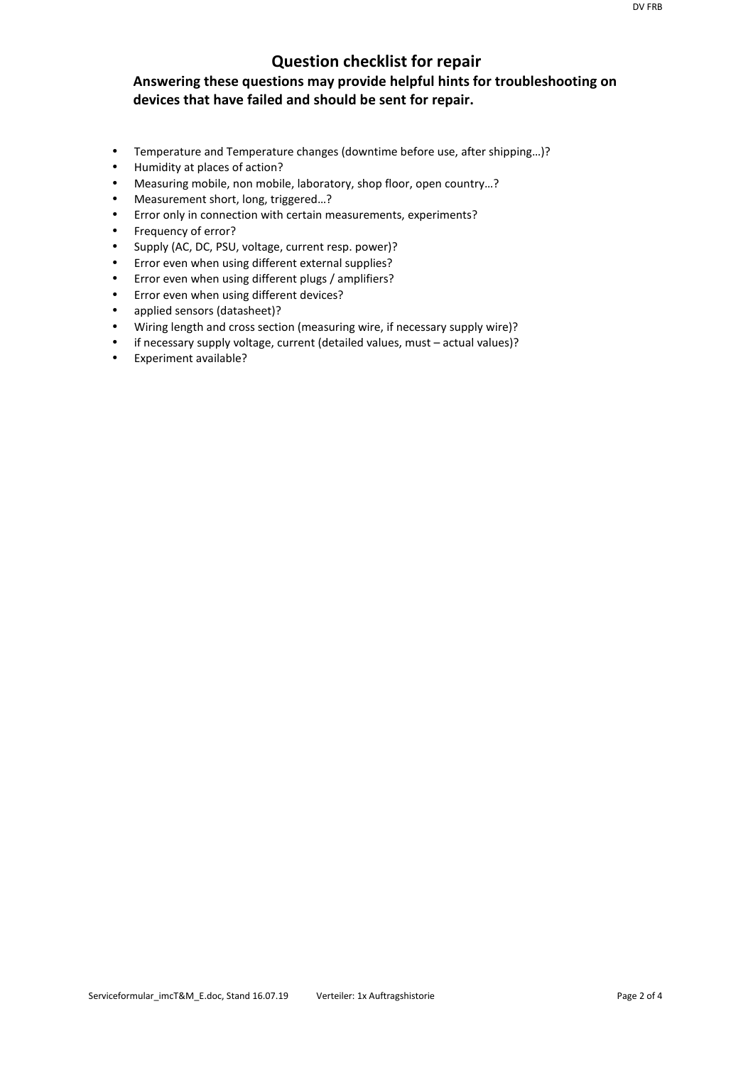# **Question checklist for repair**

# **Answering these questions may provide helpful hints for troubleshooting on devices that have failed and should be sent for repair.**

- Temperature and Temperature changes (downtime before use, after shipping…)?
- Humidity at places of action?
- Measuring mobile, non mobile, laboratory, shop floor, open country…?
- Measurement short, long, triggered…?
- Error only in connection with certain measurements, experiments?
- Frequency of error?
- Supply (AC, DC, PSU, voltage, current resp. power)?
- Error even when using different external supplies?
- Error even when using different plugs / amplifiers?
- Error even when using different devices?
- applied sensors (datasheet)?
- Wiring length and cross section (measuring wire, if necessary supply wire)?
- if necessary supply voltage, current (detailed values, must actual values)?
- Experiment available?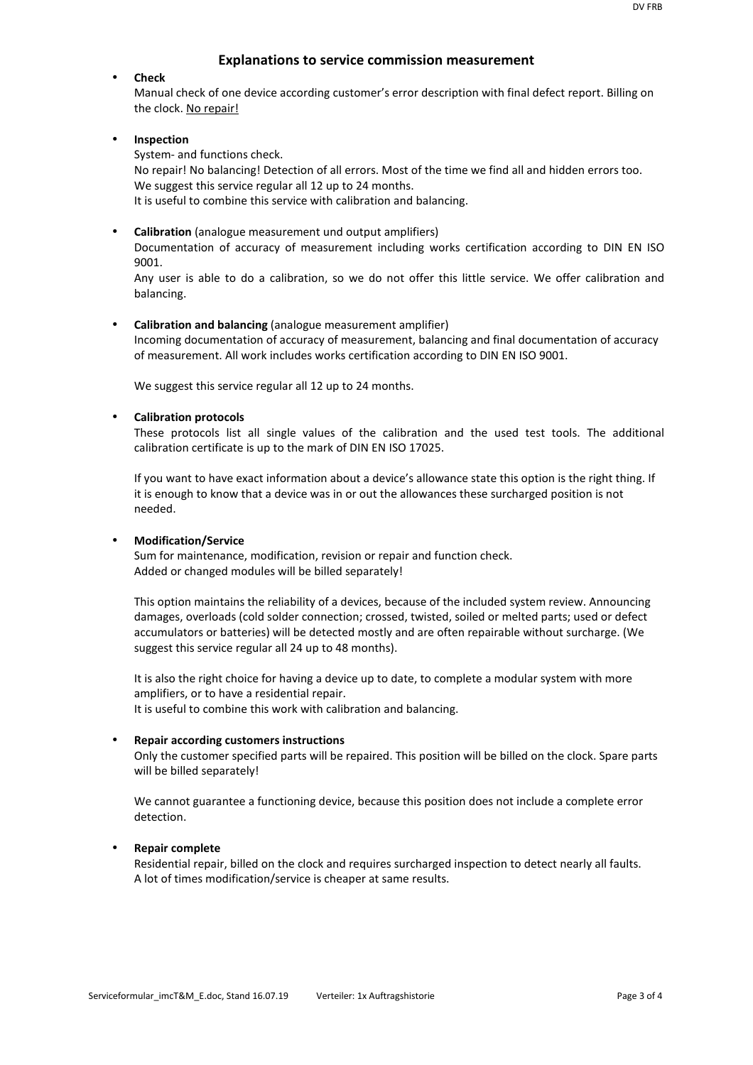## **Explanations to service commission measurement**

#### • **Check**

Manual check of one device according customer's error description with final defect report. Billing on the clock. No repair!

#### • **Inspection**

System- and functions check.

No repair! No balancing! Detection of all errors. Most of the time we find all and hidden errors too. We suggest this service regular all 12 up to 24 months. It is useful to combine this service with calibration and balancing.

• **Calibration** (analogue measurement und output amplifiers) Documentation of accuracy of measurement including works certification according to DIN EN ISO 9001.

Any user is able to do a calibration, so we do not offer this little service. We offer calibration and balancing.

• **Calibration and balancing** (analogue measurement amplifier) Incoming documentation of accuracy of measurement, balancing and final documentation of accuracy of measurement. All work includes works certification according to DIN EN ISO 9001.

We suggest this service regular all 12 up to 24 months.

#### • **Calibration protocols**

These protocols list all single values of the calibration and the used test tools. The additional calibration certificate is up to the mark of DIN EN ISO 17025.

If you want to have exact information about a device's allowance state this option is the right thing. If it is enough to know that a device was in or out the allowances these surcharged position is not needed.

#### • **Modification/Service**

Sum for maintenance, modification, revision or repair and function check. Added or changed modules will be billed separately!

This option maintains the reliability of a devices, because of the included system review. Announcing damages, overloads (cold solder connection; crossed, twisted, soiled or melted parts; used or defect accumulators or batteries) will be detected mostly and are often repairable without surcharge. (We suggest this service regular all 24 up to 48 months).

It is also the right choice for having a device up to date, to complete a modular system with more amplifiers, or to have a residential repair. It is useful to combine this work with calibration and balancing.

# • **Repair according customers instructions**

Only the customer specified parts will be repaired. This position will be billed on the clock. Spare parts will be billed separately!

We cannot guarantee a functioning device, because this position does not include a complete error detection.

#### • **Repair complete**

Residential repair, billed on the clock and requires surcharged inspection to detect nearly all faults. A lot of times modification/service is cheaper at same results.